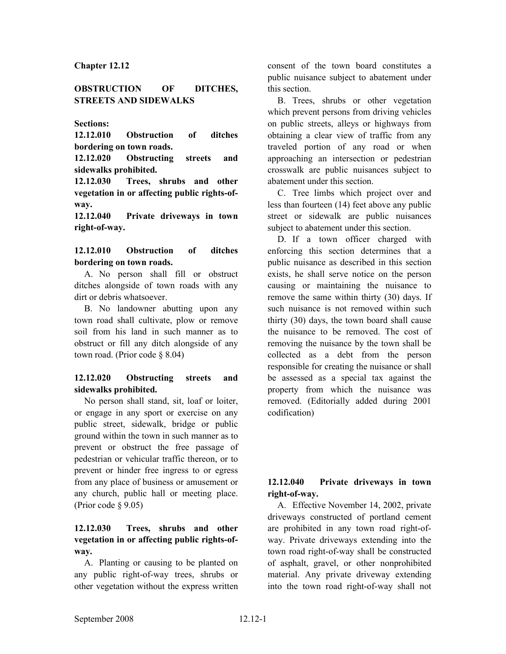### **Chapter 12.12**

## **OBSTRUCTION OF DITCHES, STREETS AND SIDEWALKS**

### **Sections:**

**12.12.010 Obstruction of ditches bordering on town roads.**

**12.12.020 Obstructing streets and sidewalks prohibited.**

**12.12.030 Trees, shrubs and other vegetation in or affecting public rights-ofway.**

**12.12.040 Private driveways in town right-of-way.**

### **12.12.010 Obstruction of ditches bordering on town roads.**

A. No person shall fill or obstruct ditches alongside of town roads with any dirt or debris whatsoever.

B. No landowner abutting upon any town road shall cultivate, plow or remove soil from his land in such manner as to obstruct or fill any ditch alongside of any town road. (Prior code § 8.04)

# **12.12.020 Obstructing streets and sidewalks prohibited.**

No person shall stand, sit, loaf or loiter, or engage in any sport or exercise on any public street, sidewalk, bridge or public ground within the town in such manner as to prevent or obstruct the free passage of pedestrian or vehicular traffic thereon, or to prevent or hinder free ingress to or egress from any place of business or amusement or any church, public hall or meeting place. (Prior code § 9.05)

### **12.12.030 Trees, shrubs and other vegetation in or affecting public rights-ofway.**

A. Planting or causing to be planted on any public right-of-way trees, shrubs or other vegetation without the express written

consent of the town board constitutes a public nuisance subject to abatement under this section.

B. Trees, shrubs or other vegetation which prevent persons from driving vehicles on public streets, alleys or highways from obtaining a clear view of traffic from any traveled portion of any road or when approaching an intersection or pedestrian crosswalk are public nuisances subject to abatement under this section.

C. Tree limbs which project over and less than fourteen (14) feet above any public street or sidewalk are public nuisances subject to abatement under this section.

D. If a town officer charged with enforcing this section determines that a public nuisance as described in this section exists, he shall serve notice on the person causing or maintaining the nuisance to remove the same within thirty (30) days. If such nuisance is not removed within such thirty (30) days, the town board shall cause the nuisance to be removed. The cost of removing the nuisance by the town shall be collected as a debt from the person responsible for creating the nuisance or shall be assessed as a special tax against the property from which the nuisance was removed. (Editorially added during 2001 codification)

# **12.12.040 Private driveways in town right-of-way.**

A. Effective November 14, 2002, private driveways constructed of portland cement are prohibited in any town road right-ofway. Private driveways extending into the town road right-of-way shall be constructed of asphalt, gravel, or other nonprohibited material. Any private driveway extending into the town road right-of-way shall not